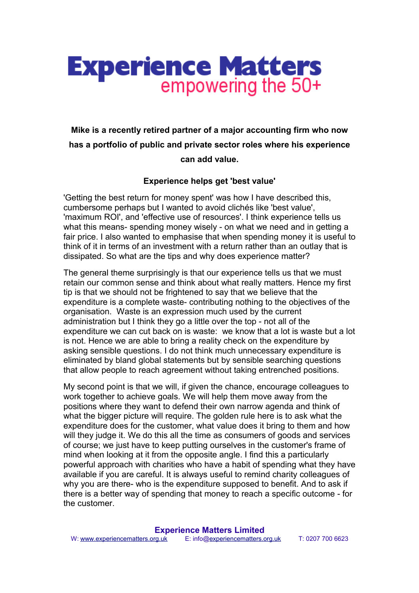

## **Mike is a recently retired partner of a major accounting firm who now has a portfolio of public and private sector roles where his experience can add value.**

## **Experience helps get 'best value'**

'Getting the best return for money spent' was how I have described this, cumbersome perhaps but I wanted to avoid clichés like 'best value', 'maximum ROI', and 'effective use of resources'. I think experience tells us what this means- spending money wisely - on what we need and in getting a fair price. I also wanted to emphasise that when spending money it is useful to think of it in terms of an investment with a return rather than an outlay that is dissipated. So what are the tips and why does experience matter?

The general theme surprisingly is that our experience tells us that we must retain our common sense and think about what really matters. Hence my first tip is that we should not be frightened to say that we believe that the expenditure is a complete waste- contributing nothing to the objectives of the organisation. Waste is an expression much used by the current administration but I think they go a little over the top - not all of the expenditure we can cut back on is waste: we know that a lot is waste but a lot is not. Hence we are able to bring a reality check on the expenditure by asking sensible questions. I do not think much unnecessary expenditure is eliminated by bland global statements but by sensible searching questions that allow people to reach agreement without taking entrenched positions.

My second point is that we will, if given the chance, encourage colleagues to work together to achieve goals. We will help them move away from the positions where they want to defend their own narrow agenda and think of what the bigger picture will require. The golden rule here is to ask what the expenditure does for the customer, what value does it bring to them and how will they judge it. We do this all the time as consumers of goods and services of course; we just have to keep putting ourselves in the customer's frame of mind when looking at it from the opposite angle. I find this a particularly powerful approach with charities who have a habit of spending what they have available if you are careful. It is always useful to remind charity colleagues of why you are there- who is the expenditure supposed to benefit. And to ask if there is a better way of spending that money to reach a specific outcome - for the customer.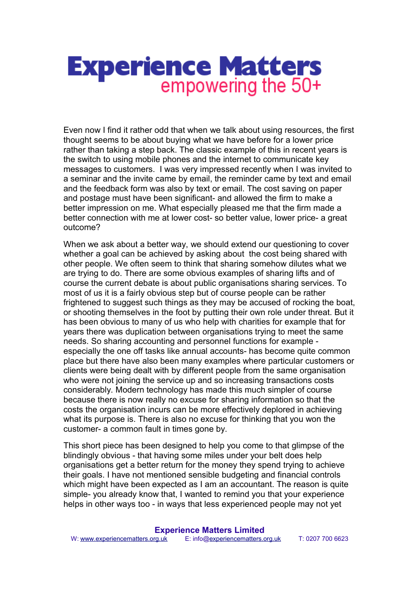## **Experience Matters** empowering the 50+

Even now I find it rather odd that when we talk about using resources, the first thought seems to be about buying what we have before for a lower price rather than taking a step back. The classic example of this in recent years is the switch to using mobile phones and the internet to communicate key messages to customers. I was very impressed recently when I was invited to a seminar and the invite came by email, the reminder came by text and email and the feedback form was also by text or email. The cost saving on paper and postage must have been significant- and allowed the firm to make a better impression on me. What especially pleased me that the firm made a better connection with me at lower cost- so better value, lower price- a great outcome?

When we ask about a better way, we should extend our questioning to cover whether a goal can be achieved by asking about the cost being shared with other people. We often seem to think that sharing somehow dilutes what we are trying to do. There are some obvious examples of sharing lifts and of course the current debate is about public organisations sharing services. To most of us it is a fairly obvious step but of course people can be rather frightened to suggest such things as they may be accused of rocking the boat, or shooting themselves in the foot by putting their own role under threat. But it has been obvious to many of us who help with charities for example that for years there was duplication between organisations trying to meet the same needs. So sharing accounting and personnel functions for example especially the one off tasks like annual accounts- has become quite common place but there have also been many examples where particular customers or clients were being dealt with by different people from the same organisation who were not joining the service up and so increasing transactions costs considerably. Modern technology has made this much simpler of course because there is now really no excuse for sharing information so that the costs the organisation incurs can be more effectively deplored in achieving what its purpose is. There is also no excuse for thinking that you won the customer- a common fault in times gone by.

This short piece has been designed to help you come to that glimpse of the blindingly obvious - that having some miles under your belt does help organisations get a better return for the money they spend trying to achieve their goals. I have not mentioned sensible budgeting and financial controls which might have been expected as I am an accountant. The reason is quite simple- you already know that, I wanted to remind you that your experience helps in other ways too - in ways that less experienced people may not yet